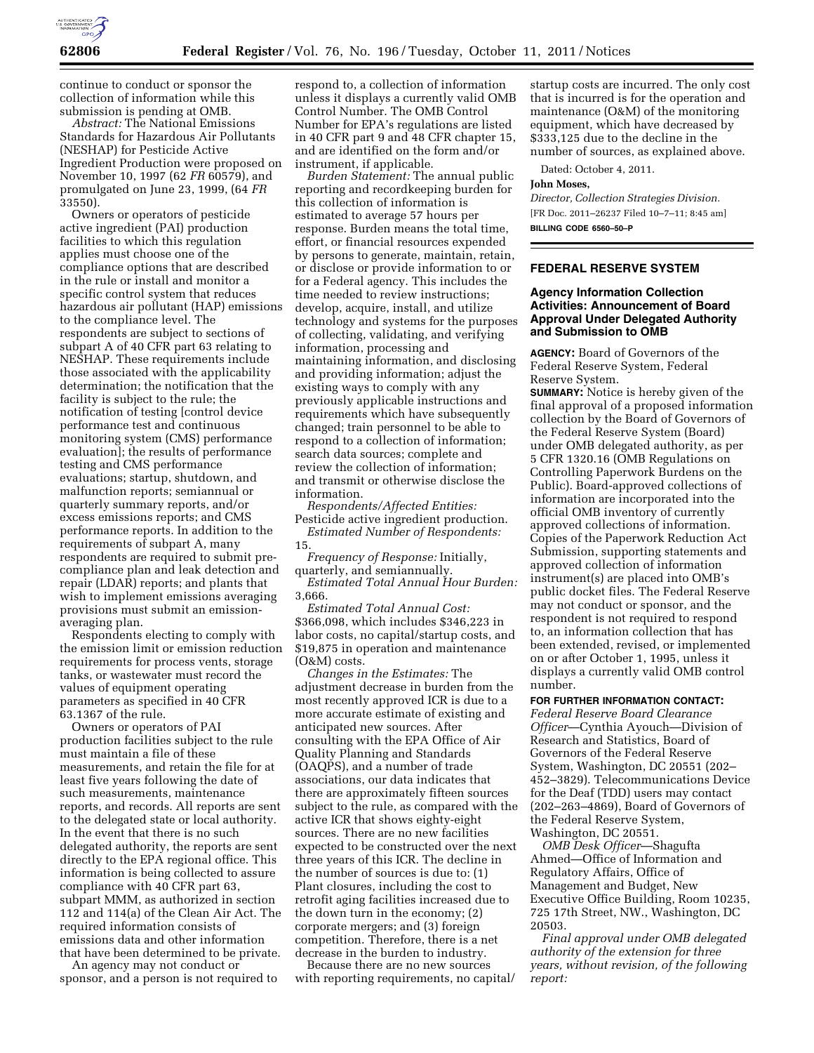

continue to conduct or sponsor the collection of information while this submission is pending at OMB.

*Abstract:* The National Emissions Standards for Hazardous Air Pollutants (NESHAP) for Pesticide Active Ingredient Production were proposed on November 10, 1997 (62 *FR* 60579), and promulgated on June 23, 1999, (64 *FR*  33550).

Owners or operators of pesticide active ingredient (PAI) production facilities to which this regulation applies must choose one of the compliance options that are described in the rule or install and monitor a specific control system that reduces hazardous air pollutant (HAP) emissions to the compliance level. The respondents are subject to sections of subpart A of 40 CFR part 63 relating to NESHAP. These requirements include those associated with the applicability determination; the notification that the facility is subject to the rule; the notification of testing [control device performance test and continuous monitoring system (CMS) performance evaluation]; the results of performance testing and CMS performance evaluations; startup, shutdown, and malfunction reports; semiannual or quarterly summary reports, and/or excess emissions reports; and CMS performance reports. In addition to the requirements of subpart A, many respondents are required to submit precompliance plan and leak detection and repair (LDAR) reports; and plants that wish to implement emissions averaging provisions must submit an emissionaveraging plan.

Respondents electing to comply with the emission limit or emission reduction requirements for process vents, storage tanks, or wastewater must record the values of equipment operating parameters as specified in 40 CFR 63.1367 of the rule.

Owners or operators of PAI production facilities subject to the rule must maintain a file of these measurements, and retain the file for at least five years following the date of such measurements, maintenance reports, and records. All reports are sent to the delegated state or local authority. In the event that there is no such delegated authority, the reports are sent directly to the EPA regional office. This information is being collected to assure compliance with 40 CFR part 63, subpart MMM, as authorized in section 112 and 114(a) of the Clean Air Act. The required information consists of emissions data and other information that have been determined to be private.

An agency may not conduct or sponsor, and a person is not required to

respond to, a collection of information unless it displays a currently valid OMB Control Number. The OMB Control Number for EPA's regulations are listed in 40 CFR part 9 and 48 CFR chapter 15, and are identified on the form and/or instrument, if applicable.

*Burden Statement:* The annual public reporting and recordkeeping burden for this collection of information is estimated to average 57 hours per response. Burden means the total time, effort, or financial resources expended by persons to generate, maintain, retain, or disclose or provide information to or for a Federal agency. This includes the time needed to review instructions; develop, acquire, install, and utilize technology and systems for the purposes of collecting, validating, and verifying information, processing and maintaining information, and disclosing and providing information; adjust the existing ways to comply with any previously applicable instructions and requirements which have subsequently changed; train personnel to be able to respond to a collection of information; search data sources; complete and review the collection of information; and transmit or otherwise disclose the information.

*Respondents/Affected Entities:*  Pesticide active ingredient production. *Estimated Number of Respondents:* 

15.

*Frequency of Response:* Initially, quarterly, and semiannually.

*Estimated Total Annual Hour Burden:*  3,666.

*Estimated Total Annual Cost:*  \$366,098, which includes \$346,223 in labor costs, no capital/startup costs, and \$19,875 in operation and maintenance (O&M) costs.

*Changes in the Estimates:* The adjustment decrease in burden from the most recently approved ICR is due to a more accurate estimate of existing and anticipated new sources. After consulting with the EPA Office of Air Quality Planning and Standards (OAQPS), and a number of trade associations, our data indicates that there are approximately fifteen sources subject to the rule, as compared with the active ICR that shows eighty-eight sources. There are no new facilities expected to be constructed over the next three years of this ICR. The decline in the number of sources is due to: (1) Plant closures, including the cost to retrofit aging facilities increased due to the down turn in the economy; (2) corporate mergers; and (3) foreign competition. Therefore, there is a net decrease in the burden to industry.

Because there are no new sources with reporting requirements, no capital/

startup costs are incurred. The only cost that is incurred is for the operation and maintenance (O&M) of the monitoring equipment, which have decreased by \$333,125 due to the decline in the number of sources, as explained above.

Dated: October 4, 2011.

### **John Moses,**

*Director, Collection Strategies Division.*  [FR Doc. 2011–26237 Filed 10–7–11; 8:45 am] **BILLING CODE 6560–50–P** 

## **FEDERAL RESERVE SYSTEM**

# **Agency Information Collection Activities: Announcement of Board Approval Under Delegated Authority and Submission to OMB**

**AGENCY:** Board of Governors of the Federal Reserve System, Federal Reserve System.

**SUMMARY:** Notice is hereby given of the final approval of a proposed information collection by the Board of Governors of the Federal Reserve System (Board) under OMB delegated authority, as per 5 CFR 1320.16 (OMB Regulations on Controlling Paperwork Burdens on the Public). Board-approved collections of information are incorporated into the official OMB inventory of currently approved collections of information. Copies of the Paperwork Reduction Act Submission, supporting statements and approved collection of information instrument(s) are placed into OMB's public docket files. The Federal Reserve may not conduct or sponsor, and the respondent is not required to respond to, an information collection that has been extended, revised, or implemented on or after October 1, 1995, unless it displays a currently valid OMB control number.

#### **FOR FURTHER INFORMATION CONTACT:**

*Federal Reserve Board Clearance Officer*—Cynthia Ayouch—Division of Research and Statistics, Board of Governors of the Federal Reserve System, Washington, DC 20551 (202– 452–3829). Telecommunications Device for the Deaf (TDD) users may contact (202–263–4869), Board of Governors of the Federal Reserve System, Washington, DC 20551.

*OMB Desk Officer*—Shagufta Ahmed—Office of Information and Regulatory Affairs, Office of Management and Budget, New Executive Office Building, Room 10235, 725 17th Street, NW., Washington, DC 20503.

*Final approval under OMB delegated authority of the extension for three years, without revision, of the following report:*